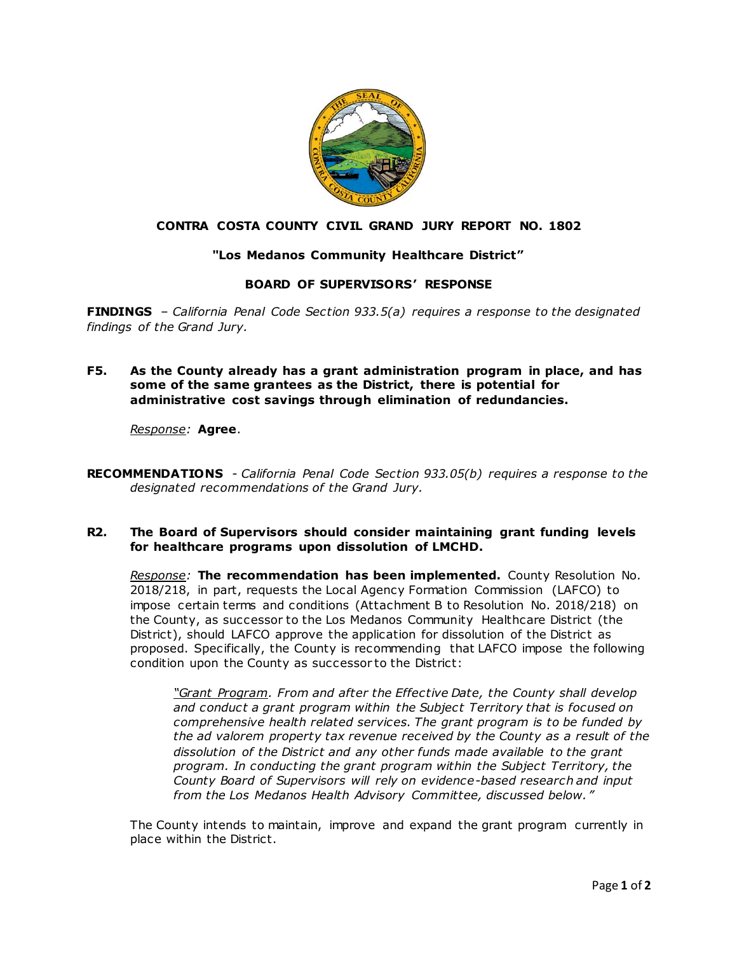

# **CONTRA COSTA COUNTY CIVIL GRAND JURY REPORT NO. 1802**

# **"Los Medanos Community Healthcare District"**

# **BOARD OF SUPERVISORS' RESPONSE**

**FINDINGS** – *California Penal Code Section 933.5(a) requires a response to the designated findings of the Grand Jury.*

**F5. As the County already has a grant administration program in place, and has some of the same grantees as the District, there is potential for administrative cost savings through elimination of redundancies.**

#### *Response:* **Agree**.

**RECOMMENDATIONS** - *California Penal Code Section 933.05(b) requires a response to the designated recommendations of the Grand Jury.*

### **R2. The Board of Supervisors should consider maintaining grant funding levels for healthcare programs upon dissolution of LMCHD.**

*Response:* **The recommendation has been implemented.** County Resolution No. 2018/218, in part, requests the Local Agency Formation Commission (LAFCO) to impose certain terms and conditions (Attachment B to Resolution No. 2018/218) on the County, as successor to the Los Medanos Community Healthcare District (the District), should LAFCO approve the application for dissolution of the District as proposed. Specifically, the County is recommending that LAFCO impose the following condition upon the County as successor to the District:

*"Grant Program. From and after the Effective Date, the County shall develop and conduct a grant program within the Subject Territory that is focused on comprehensive health related services. The grant program is to be funded by the ad valorem property tax revenue received by the County as a result of the dissolution of the District and any other funds made available to the grant program. In conducting the grant program within the Subject Territory, the County Board of Supervisors will rely on evidence-based research and input from the Los Medanos Health Advisory Committee, discussed below. "*

The County intends to maintain, improve and expand the grant program currently in place within the District.